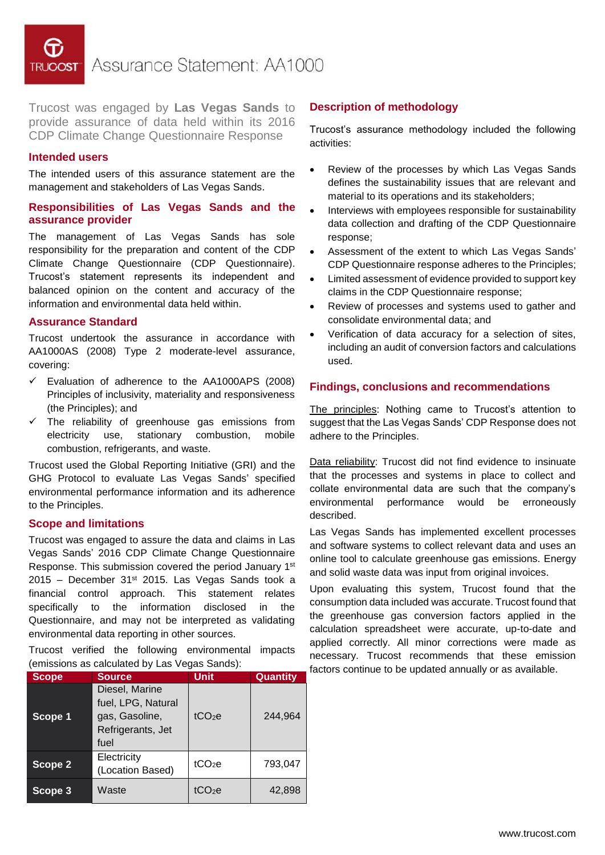Assurance Statement: AA1000

Trucost was engaged by **Las Vegas Sands** to provide assurance of data held within its 2016 CDP Climate Change Questionnaire Response

### **Intended users**

The intended users of this assurance statement are the management and stakeholders of Las Vegas Sands.

## **Responsibilities of Las Vegas Sands and the assurance provider**

The management of Las Vegas Sands has sole responsibility for the preparation and content of the CDP Climate Change Questionnaire (CDP Questionnaire). Trucost's statement represents its independent and balanced opinion on the content and accuracy of the information and environmental data held within.

#### **Assurance Standard**

Trucost undertook the assurance in accordance with AA1000AS (2008) Type 2 moderate-level assurance, covering:

- $\checkmark$  Evaluation of adherence to the AA1000APS (2008) Principles of inclusivity, materiality and responsiveness (the Principles); and
- $\checkmark$  The reliability of greenhouse gas emissions from electricity use, stationary combustion, mobile combustion, refrigerants, and waste.

Trucost used the Global Reporting Initiative (GRI) and the GHG Protocol to evaluate Las Vegas Sands' specified environmental performance information and its adherence to the Principles.

## **Scope and limitations**

Trucost was engaged to assure the data and claims in Las Vegas Sands' 2016 CDP Climate Change Questionnaire Response. This submission covered the period January 1st  $2015$  – December 31st 2015. Las Vegas Sands took a financial control approach. This statement relates specifically to the information disclosed in the Questionnaire, and may not be interpreted as validating environmental data reporting in other sources.

Trucost verified the following environmental impacts (emissions as calculated by Las Vegas Sands):

| <b>Scope</b> | <b>Source</b>                                                                       | <b>Unit</b>        | Quantity |
|--------------|-------------------------------------------------------------------------------------|--------------------|----------|
| Scope 1      | Diesel, Marine<br>fuel, LPG, Natural<br>gas, Gasoline,<br>Refrigerants, Jet<br>fuel | tCO <sub>2</sub> e | 244,964  |
| Scope 2      | Electricity<br>(Location Based)                                                     | tCO <sub>2</sub> e | 793,047  |
| Scope 3      | Waste                                                                               | tCO2e              | 42,898   |

## **Description of methodology**

Trucost's assurance methodology included the following activities:

- Review of the processes by which Las Vegas Sands defines the sustainability issues that are relevant and material to its operations and its stakeholders;
- Interviews with employees responsible for sustainability data collection and drafting of the CDP Questionnaire response;
- Assessment of the extent to which Las Vegas Sands' CDP Questionnaire response adheres to the Principles;
- Limited assessment of evidence provided to support key claims in the CDP Questionnaire response;
- Review of processes and systems used to gather and consolidate environmental data; and
- Verification of data accuracy for a selection of sites, including an audit of conversion factors and calculations used.

#### **Findings, conclusions and recommendations**

The principles: Nothing came to Trucost's attention to suggest that the Las Vegas Sands' CDP Response does not adhere to the Principles.

Data reliability: Trucost did not find evidence to insinuate that the processes and systems in place to collect and collate environmental data are such that the company's environmental performance would be erroneously described.

Las Vegas Sands has implemented excellent processes and software systems to collect relevant data and uses an online tool to calculate greenhouse gas emissions. Energy and solid waste data was input from original invoices.

Upon evaluating this system, Trucost found that the consumption data included was accurate. Trucost found that the greenhouse gas conversion factors applied in the calculation spreadsheet were accurate, up-to-date and applied correctly. All minor corrections were made as necessary. Trucost recommends that these emission factors continue to be updated annually or as available.